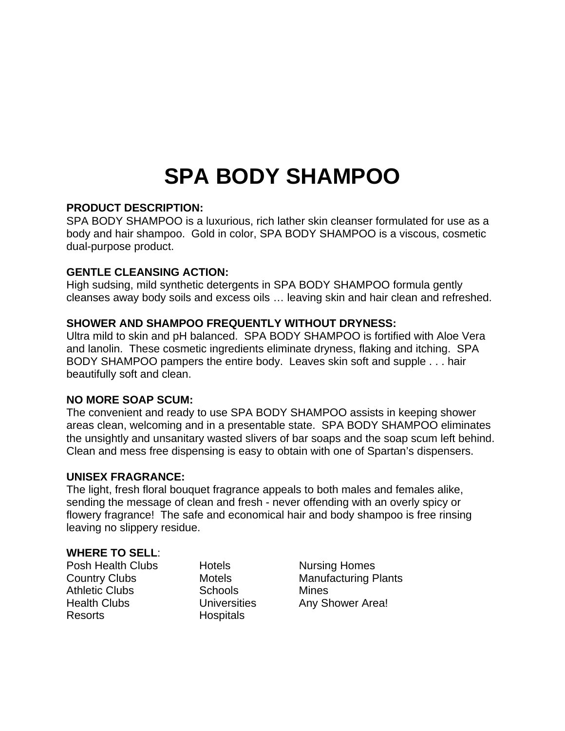# **SPA BODY SHAMPOO**

# **PRODUCT DESCRIPTION:**

SPA BODY SHAMPOO is a luxurious, rich lather skin cleanser formulated for use as a body and hair shampoo. Gold in color, SPA BODY SHAMPOO is a viscous, cosmetic dual-purpose product.

# **GENTLE CLEANSING ACTION:**

High sudsing, mild synthetic detergents in SPA BODY SHAMPOO formula gently cleanses away body soils and excess oils … leaving skin and hair clean and refreshed.

# **SHOWER AND SHAMPOO FREQUENTLY WITHOUT DRYNESS:**

Ultra mild to skin and pH balanced. SPA BODY SHAMPOO is fortified with Aloe Vera and lanolin. These cosmetic ingredients eliminate dryness, flaking and itching. SPA BODY SHAMPOO pampers the entire body. Leaves skin soft and supple . . . hair beautifully soft and clean.

### **NO MORE SOAP SCUM:**

The convenient and ready to use SPA BODY SHAMPOO assists in keeping shower areas clean, welcoming and in a presentable state. SPA BODY SHAMPOO eliminates the unsightly and unsanitary wasted slivers of bar soaps and the soap scum left behind. Clean and mess free dispensing is easy to obtain with one of Spartan's dispensers.

### **UNISEX FRAGRANCE:**

The light, fresh floral bouquet fragrance appeals to both males and females alike, sending the message of clean and fresh - never offending with an overly spicy or flowery fragrance! The safe and economical hair and body shampoo is free rinsing leaving no slippery residue.

### **WHERE TO SELL**:

Posh Health Clubs Hotels Nursing Homes Athletic Clubs Schools Mines Resorts Hospitals

Country Clubs **Motels** Motels **Manufacturing Plants** Health Clubs **Universities** Any Shower Area!